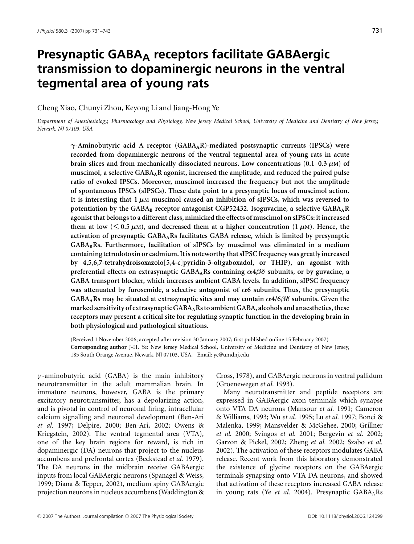# **Presynaptic GABAA receptors facilitate GABAergic transmission to dopaminergic neurons in the ventral tegmental area of young rats**

Cheng Xiao, Chunyi Zhou, Keyong Li and Jiang-Hong Ye

*Department of Anesthesiology, Pharmacology and Physiology, New Jersey Medical School, University of Medicine and Dentistry of New Jersey, Newark, NJ 07103, USA*

*γ***-Aminobutyric acid A receptor (GABAAR)-mediated postsynaptic currents (IPSCs) were recorded from dopaminergic neurons of the ventral tegmental area of young rats in acute brain slices and from mechanically dissociated neurons. Low concentrations**  $(0.1-0.3 \mu)$  **of muscimol, a selective GABAAR agonist, increased the amplitude, and reduced the paired pulse ratio of evoked IPSCs. Moreover, muscimol increased the frequency but not the amplitude of spontaneous IPSCs (sIPSCs). These data point to a presynaptic locus of muscimol action. It is interesting that 1** *μ***M muscimol caused an inhibition of sIPSCs, which was reversed to potentiation by the GABA<sup>B</sup> receptor antagonist CGP52432. Isoguvacine, a selective GABAAR agonist that belongs to a different class, mimicked the effects of muscimol on sIPSCs: it increased them at low (** $\leq$  **0.5**  $\mu$ M), and decreased them at a higher concentration (1 $\mu$ M). Hence, the **activation of presynaptic GABAARs facilitates GABA release, which is limited by presynaptic GABABRs. Furthermore, facilitation of sIPSCs by muscimol was eliminated in a medium containing tetrodotoxin or cadmium. It is noteworthy that sIPSC frequency was greatly increased by 4,5,6,7-tetrahydroisoxazolo[5,4-c]pyridin-3-ol(gaboxadol, or THIP), an agonist with preferential effects on extrasynaptic GABAARs containing** *α***4***βδ* **subunits, or by guvacine, a GABA transport blocker, which increases ambient GABA levels. In addition, sIPSC frequency was attenuated by furosemide, a selective antagonist of** *α***6 subunits. Thus, the presynaptic GABAARs may be situated at extrasynaptic sites and may contain** *α***4/6***βδ* **subunits. Given the marked sensitivity of extrasynaptic GABAARs to ambient GABA, alcohols and anaesthetics, these receptors may present a critical site for regulating synaptic function in the developing brain in both physiological and pathological situations.**

(Received 1 November 2006; accepted after revision 30 January 2007; first published online 15 February 2007) **Corresponding author** J-H. Ye: New Jersey Medical School, University of Medicine and Dentistry of New Jersey, 185 South Orange Avenue, Newark, NJ 07103, USA. Email: ye@umdnj.edu

 $\gamma$ -aminobutyric acid (GABA) is the main inhibitory neurotransmitter in the adult mammalian brain. In immature neurons, however, GABA is the primary excitatory neurotransmitter, has a depolarizing action, and is pivotal in control of neuronal firing, intracellular calcium signalling and neuronal development (Ben-Ari *et al.* 1997; Delpire, 2000; Ben-Ari, 2002; Owens & Kriegstein, 2002). The ventral tegmental area (VTA), one of the key brain regions for reward, is rich in dopaminergic (DA) neurons that project to the nucleus accumbens and prefrontal cortex (Beckstead *et al.* 1979). The DA neurons in the midbrain receive GABAergic inputs from local GABAergic neurons (Spanagel & Weiss, 1999; Diana & Tepper, 2002), medium spiny GABAergic projection neurons in nucleus accumbens (Waddington & Cross, 1978), and GABAergic neurons in ventral pallidum (Groenewegen *et al.* 1993).

Many neurotransmitter and peptide receptors are expressed in GABAergic axon terminals which synapse onto VTA DA neurons (Mansour *et al.* 1991; Cameron & Williams, 1993; Wu *et al.* 1995; Lu *et al.* 1997; Bonci & Malenka, 1999; Mansvelder & McGehee, 2000; Grillner *et al.* 2000; Svingos *et al.* 2001; Bergevin *et al.* 2002; Garzon & Pickel, 2002; Zheng *et al.* 2002; Szabo *et al.* 2002). The activation of these receptors modulates GABA release. Recent work from this laboratory demonstrated the existence of glycine receptors on the GABAergic terminals synapsing onto VTA DA neurons, and showed that activation of these receptors increased GABA release in young rats (Ye et al. 2004). Presynaptic GABA<sub>A</sub>Rs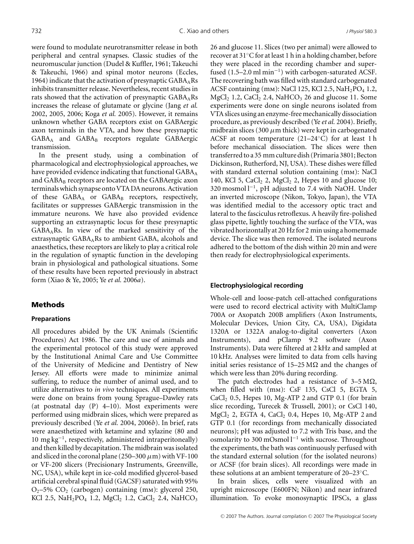were found to modulate neurotransmitter release in both peripheral and central synapses. Classic studies of the neuromuscular junction (Dudel & Kuffler, 1961; Takeuchi & Takeuchi, 1966) and spinal motor neurons (Eccles, 1964) indicate that the activation of presynaptic  $GABA_ARs$ inhibits transmitter release. Nevertheless, recent studies in rats showed that the activation of presynaptic  $GABA<sub>A</sub>Rs$ increases the release of glutamate or glycine (Jang *et al.* 2002, 2005, 2006; Koga *et al.* 2005). However, it remains unknown whether GABA receptors exist on GABAergic axon terminals in the VTA, and how these presynaptic  $GABA_A$  and  $GABA_B$  receptors regulate  $GABA$ ergic transmission.

In the present study, using a combination of pharmacological and electrophysiological approaches, we have provided evidence indicating that functional  $GABA_A$ and  $GABA_B$  receptors are located on the  $GABA$ ergic axon terminals which synapse onto VTA DA neurons. Activation of these  $GABA_A$  or  $GABA_B$  receptors, respectively, facilitates or suppresses GABAergic transmission in the immature neurons. We have also provided evidence supporting an extrasynaptic locus for these presynaptic GABAARs. In view of the marked sensitivity of the extrasynaptic  $GABA<sub>A</sub>Rs$  to ambient  $GABA$ , alcohols and anaesthetics, these receptors are likely to play a critical role in the regulation of synaptic function in the developing brain in physiological and pathological situations. Some of these results have been reported previously in abstract form (Xiao & Ye, 2005; Ye *et al.* 2006*a*).

## **Methods**

#### **Preparations**

All procedures abided by the UK Animals (Scientific Procedures) Act 1986. The care and use of animals and the experimental protocol of this study were approved by the Institutional Animal Care and Use Committee of the University of Medicine and Dentistry of New Jersey. All efforts were made to minimize animal suffering, to reduce the number of animal used, and to utilize alternatives to *in vivo* techniques. All experiments were done on brains from young Sprague–Dawley rats (at postnatal day (P) 4–10). Most experiments were performed using midbrain slices, which were prepared as previously described (Ye *et al.* 2004, 2006*b*). In brief, rats were anaesthetized with ketamine and xylazine (80 and 10 mg kg<sup>−</sup>1, respectively, administered intraperitoneally) and then killed by decapitation. The midbrain was isolated and sliced in the coronal plane (250–300  $\mu$ m) with VF-100 or VF-200 slicers (Precisionary Instruments, Greenville, NC, USA), while kept in ice-cold modified glycerol-based artificial cerebral spinal fluid (GACSF) saturated with 95%  $O_2$ –5%  $CO_2$  (carbogen) containing (mm): glycerol 250, KCl 2.5, NaH<sub>2</sub>PO<sub>4</sub> 1.2, MgCl<sub>2</sub> 1.2, CaCl<sub>2</sub> 2.4, NaHCO<sub>3</sub>

26 and glucose 11. Slices (two per animal) were allowed to recover at 31◦C for at least 1 h in a holding chamber, before they were placed in the recording chamber and superfused  $(1.5–2.0 \text{ ml min}^{-1})$  with carbogen-saturated ACSF. The recovering bath was filled with standard carbogenated ACSF containing (mm): NaCl 125, KCl 2.5, NaH<sub>2</sub>PO<sub>4</sub> 1.2, MgCl<sub>2</sub> 1.2, CaCl<sub>2</sub> 2.4, NaHCO<sub>3</sub> 26 and glucose 11. Some experiments were done on single neurons isolated from VTA slices using an enzyme-free mechanically dissociation procedure, as previously described (Ye *et al.* 2004). Briefly, midbrain slices (300  $\mu$ m thick) were kept in carbogenated ACSF at room temperature (21–24◦C) for at least 1 h before mechanical dissociation. The slices were then transferred to a 35 mm culture dish (Primaria 3801; Becton Dickinson, Rutherford, NJ, USA). These dishes were filled with standard external solution containing (mm): NaCl 140, KCl 5, CaCl<sub>2</sub> 2, MgCl<sub>2</sub> 2, Hepes 10 and glucose 10; 320 mosmol l<sup>−</sup>1, pH adjusted to 7.4 with NaOH. Under an inverted microscope (Nikon, Tokyo, Japan), the VTA was identified medial to the accessory optic tract and lateral to the fasciculus retroflexus. A heavily fire-polished glass pipette, lightly touching the surface of the VTA, was vibrated horizontally at 20 Hz for 2 min using a homemade device. The slice was then removed. The isolated neurons adhered to the bottom of the dish within 20 min and were then ready for electrophysiological experiments.

#### **Electrophysiological recording**

Whole-cell and loose-patch cell-attached configurations were used to record electrical activity with MultiClamp 700A or Axopatch 200B amplifiers (Axon Instruments, Molecular Devices, Union City, CA, USA), Digidata 1320A or 1322A analog-to-digital converters (Axon Instruments), and pClamp 9.2 software (Axon Instruments). Data were filtered at 2 kHz and sampled at 10 kHz. Analyses were limited to data from cells having initial series resistance of 15–25 M $\Omega$  and the changes of which were less than 20% during recording.

The patch electrodes had a resistance of  $3-5 \text{ M}\Omega$ , when filled with (mm): CsF 135, CsCl 5, EGTA 5,  $CaCl<sub>2</sub>$  0.5, Hepes 10, Mg-ATP 2 and GTP 0.1 (for brain slice recording, Turecek & Trussell, 2001); or CsCl 140,  $MgCl<sub>2</sub>$  2, EGTA 4, CaCl<sub>2</sub> 0.4, Hepes 10, Mg-ATP 2 and GTP 0.1 (for recordings from mechanically dissociated neurons); pH was adjusted to 7.2 with Tris base, and the osmolarity to 300 mOsmol l<sup>−</sup><sup>1</sup> with sucrose. Throughout the experiments, the bath was continuously perfused with the standard external solution (for the isolated neurons) or ACSF (for brain slices). All recordings were made in these solutions at an ambient temperature of 20–23◦C.

In brain slices, cells were visualized with an upright microscope (E600FN; Nikon) and near infrared illumination. To evoke monosynaptic IPSCs, a glass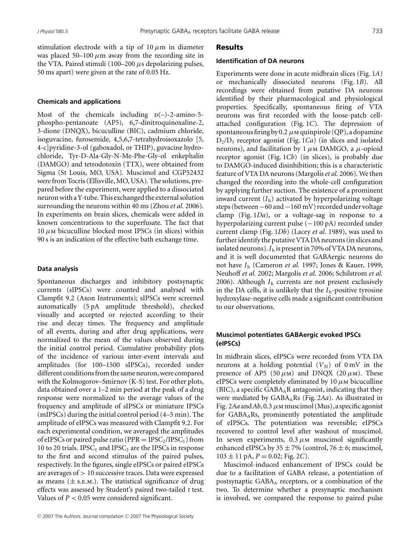stimulation electrode with a tip of  $10 \mu m$  in diameter was placed 50–100  $\mu$ m away from the recording site in the VTA. Paired stimuli (100–200  $\mu$ s depolarizing pulses, 50 ms apart) were given at the rate of 0.05 Hz.

#### **Chemicals and applications**

Most of the chemicals including  $p(-)$ -2-amino-5phospho-pentanoate (AP5), 6,7-dinitroquinoxaline-2, 3-dione (DNQX), bicuculline (BIC), cadmium chloride, isoguvacine, furosemide, 4,5,6,7-tetrahydroisoxazolo [5, 4-c]pyridine-3-ol (gaboxadol, or THIP), guvacine hydrochloride, Tyr-D-Ala-Gly-N-Me-Phe-Gly-ol enkephalin (DAMGO) and tetrodotoxin (TTX), were obtained from Sigma (St Louis, MO, USA). Muscimol and CGP52432 were from Tocris (Ellisville, MO, USA). The solutions, prepared before the experiment, were applied to a dissociated neuron with a Y-tube. This exchanged the external solution surrounding the neurons within 40 ms (Zhou *et al.* 2006). In experiments on brain slices, chemicals were added in known concentrations to the superfusate. The fact that  $10 \mu$ m bicuculline blocked most IPSCs (in slices) within 90 s is an indication of the effective bath exchange time.

#### **Data analysis**

Spontaneous discharges and inhibitory postsynaptic currents (sIPSCs) were counted and analysed with Clampfit 9.2 (Axon Instruments); sIPSCs were screened automatically (5 pA amplitude threshold), checked visually and accepted or rejected according to their rise and decay times. The frequency and amplitude of all events, during and after drug applications, were normalized to the mean of the values observed during the initial control period. Cumulative probability plots of the incidence of various inter-event intervals and amplitudes (for 100–1500 sIPSCs), recorded under different conditions from the same neuron, were compared with the Kolmogorov–Smirnov (K-S) test. For other plots, data obtained over a 1–2 min period at the peak of a drug response were normalized to the average values of the frequency and amplitude of sIPSCs or miniature IPSCs (mIPSCs) during the initial control period (4–5 min). The amplitude of eIPSCs was measured with Clampfit 9.2. For each experimental condition, we averaged the amplitudes of eIPSCs or paired pulse ratio ( $PPR = IPSC_2/IPSC_1$ ) from 10 to 20 trials. IPS $C_1$  and IPS $C_2$  are the IPSCs in response to the first and second stimulus of the paired pulses, respectively. In the figures, single eIPSCs or paired eIPSCs are averages of  $> 10$  successive traces. Data were expressed as means  $(\pm s.\text{E.M.})$ . The statistical significance of drug effects was assessed by Student's paired two-tailed *t* test. Values of  $P < 0.05$  were considered significant.

#### Results

#### **Identification of DA neurons**

Experiments were done in acute midbrain slices (Fig. 1*A*) or mechanically dissociated neurons (Fig. 1*B*). All recordings were obtained from putative DA neurons identified by their pharmacological and physiological properties. Specifically, spontaneous firing of VTA neurons was first recorded with the loose-patch cellattached configuration (Fig. 1*C*). The depression of spontaneous firing by 0.2  $\mu$ M quinpirole (QP), a dopamine D2/D3 receptor agonist (Fig. 1*Ca*) (in slices and isolated neurons), and facilitation by 1  $\mu$ m DAMGO, a  $\mu$ -opioid receptor agonist (Fig. 1*Cb*) (in slices), is probably due to DAMGO-induced disinhibition; this is a characteristic feature of VTA DA neurons (Margolis*et al.* 2006). We then changed the recording into the whole-cell configuration by applying further suction. The existence of a prominent inward current  $(I_h)$  activated by hyperpolarizing voltage steps (between−60 and−160 mV) recorded under voltage clamp (Fig. 1*Da*), or a voltage-sag in response to a hyperpolarizing current pulse (−100 pA) recorded under current clamp (Fig. 1*Db*) (Lacey *et al.* 1989), was used to further identify the putative VTA DA neurons (in slices and isolated neurons).*I*<sup>h</sup> is present in 70% of VTA DA neurons, and it is well documented that GABAergic neurons do not have *I*<sup>h</sup> (Cameron *et al.* 1997; Jones & Kauer, 1999; Neuhoff *et al.* 2002; Margolis *et al.* 2006; Schilstrom *et al.* 2006). Although *I*<sup>h</sup> currents are not present exclusively in the DA cells, it is unlikely that the *I*h-positive tyrosine hydroxylase-negative cells made a significant contribution to our observations.

## **Muscimol potentiates GABAergic evoked IPSCs (eIPSCs)**

In midbrain slices, eIPSCs were recorded from VTA DA neurons at a holding potential  $(V_H)$  of 0 mV in the presence of AP5 (50  $\mu$ m) and DNQX (20  $\mu$ m). These eIPSCs were completely eliminated by 10  $\mu$ M bicuculline  $(BIC)$ , a specific GABA<sub>A</sub>R antagonist, indicating that they were mediated by GABA<sub>A</sub>Rs (Fig. 2Aa). As illustrated in Fig. 2*Aa* and*Ab*, 0.3 μmmuscimol (Mus), a specific agonist for  $GABA<sub>A</sub>Rs$ , prominently potentiated the amplitude of eIPSCs. The potentiation was reversible; eIPSCs recovered to control level after washout of muscimol. In seven experiments,  $0.3 \mu$ M muscimol significantly enhanced eIPSCs by  $35 \pm 7\%$  (control,  $76 \pm 6$ ; muscimol,  $103 \pm 11$  pA,  $P = 0.02$ ; Fig. 2*C*).

Muscimol-induced enhancement of IPSCs could be due to a facilitation of GABA release, a potentiation of postsynaptic GABAA receptors, or a combination of the two. To determine whether a presynaptic mechanism is involved, we compared the response to paired pulse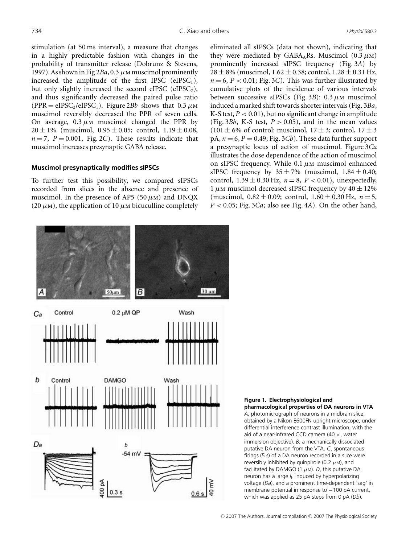stimulation (at 50 ms interval), a measure that changes in a highly predictable fashion with changes in the probability of transmitter release (Dobrunz & Stevens, 1997). As shown in Fig  $2Ba$ , 0.3  $\mu$ M muscimol prominently increased the amplitude of the first IPSC (eIPSC<sub>1</sub>), but only slightly increased the second eIPSC (eIPSC<sub>2</sub>), and thus significantly decreased the paired pulse ratio  $(PPR = eIPSC_2/eIPSC_1)$ . Figure 2*Bb* shows that 0.3  $\mu$ M muscimol reversibly decreased the PPR of seven cells. On average,  $0.3 \mu$ M muscimol changed the PPR by  $20 \pm 1\%$  (muscimol,  $0.95 \pm 0.05$ ; control,  $1.19 \pm 0.08$ ,  $n = 7$ ,  $P = 0.001$ , Fig. 2*C*). These results indicate that muscimol increases presynaptic GABA release.

#### **Muscimol presynaptically modifies sIPSCs**

To further test this possibility, we compared sIPSCs recorded from slices in the absence and presence of muscimol. In the presence of AP5 (50  $\mu$ M) and DNQX (20  $\mu$ m), the application of 10  $\mu$ m bicuculline completely eliminated all sIPSCs (data not shown), indicating that they were mediated by GABA<sub>A</sub>Rs. Muscimol  $(0.3 \mu M)$ prominently increased sIPSC frequency (Fig. 3*A*) by  $28 \pm 8\%$  (muscimol,  $1.62 \pm 0.38$ ; control,  $1.28 \pm 0.31$  Hz,  $n = 6$ ,  $P < 0.01$ ; Fig. 3*C*). This was further illustrated by cumulative plots of the incidence of various intervals between successive sIPSCs (Fig. 3*B*): 0.3  $\mu$ M muscimol induced a marked shift towards shorter intervals (Fig. 3*Ba*, K-S test,  $P < 0.01$ ), but no significant change in amplitude (Fig. 3*Bb*, K-S test,  $P > 0.05$ ), and in the mean values  $(101 \pm 6\% \text{ of control: muscimol, } 17 \pm 3; \text{ control, } 17 \pm 3$  $pA, n = 6, P = 0.49$ ; Fig. 3*Cb*). These data further support a presynaptic locus of action of muscimol. Figure 3*Ca* illustrates the dose dependence of the action of muscimol on sIPSC frequency. While 0.1  $\mu$ M muscimol enhanced sIPSC frequency by  $35 \pm 7\%$  (muscimol,  $1.84 \pm 0.40$ ; control,  $1.39 \pm 0.30$  Hz,  $n = 8$ ,  $P < 0.01$ ), unexpectedly, 1  $\mu$ M muscimol decreased sIPSC frequency by 40  $\pm$  12% (muscimol,  $0.82 \pm 0.09$ ; control,  $1.60 \pm 0.30$  Hz,  $n = 5$ , *P* < 0.05; Fig. 3*Ca*; also see Fig. 4*A*). On the other hand,



**Figure 1. Electrophysiological and pharmacological properties of DA neurons in VTA** *A*, photomicrograph of neurons in a midbrain slice, obtained by a Nikon E600FN upright microscope, under differential interference contrast illumination, with the aid of a near-infrared CCD camera (40  $\times$ , water immersion objective). *B*, a mechanically dissociated putative DA neuron from the VTA. *C*, spontaneous firings (5 s) of a DA neuron recorded in a slice were reversibly inhibited by quinpirole (0.2  $\mu$ M), and facilitated by DAMGO (1  $\mu$ M). *D*, this putative DA neuron has a large *I*<sup>h</sup> induced by hyperpolarizing voltage (*Da*), and a prominent time-dependent 'sag' in membrane potential in response to −100 pA current, which was applied as 25 pA steps from 0 pA (*Db*).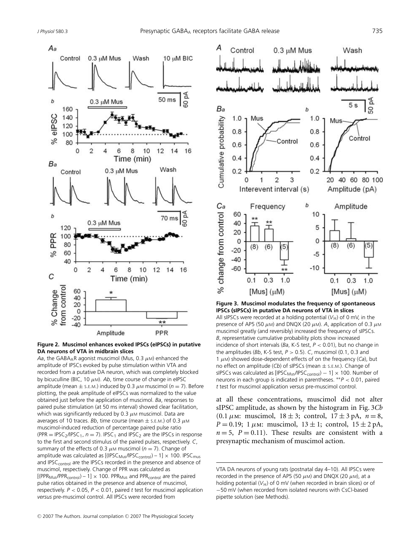



*Aa*, the GABA<sub>A</sub>R agonist muscimol (Mus, 0.3  $\mu$ M) enhanced the amplitude of IPSCs evoked by pulse stimulation within VTA and recorded from a putative DA neuron, which was completely blocked by bicuculline (BIC, 10  $\mu$ M). Ab, time course of change in eIPSC amplitude (mean  $\pm$  s.e.m.) induced by 0.3  $\mu$ m muscimol ( $n = 7$ ). Before plotting, the peak amplitude of eIPSCs was normalized to the value obtained just before the application of muscimol. *Ba*, responses to paired pulse stimulation (at 50 ms interval) showed clear facilitation, which was significantly reduced by 0.3  $\mu$ M muscimol. Data are averages of 10 traces. *Bb*, time course (mean  $\pm$  s.e.m.) of 0.3  $\mu$ M muscimol-induced reduction of percentage paired pulse ratio (PPR = IPSC<sub>2</sub>/IPSC<sub>1</sub>,  $n = 7$ ). IPSC<sub>1</sub> and IPSC<sub>2</sub> are the IPSCs in response to the first and second stimulus of the paired pulses, respectively. *C*, summary of the effects of 0.3  $\mu$ M muscimol ( $n = 7$ ). Change of amplitude was calculated as  $[(IPSC_{Mus}/IPSC_{control}) - 1] \times 100$ . IPSC<sub>mus</sub> and IPSC<sub>control</sub> are the IPSCs recorded in the presence and absence of muscimol, respectively. Change of PPR was calculated as  $[(PPR_{MUS}/PPR_{control}) - 1] \times 100$ . PPR<sub>Mus</sub> and PPR<sub>control</sub> are the paired pulse ratios obtained in the presence and absence of muscimol, respectively. *P* < 0.05, *P* < 0.01, paired *t* test for muscimol application *versus* pre-muscimol control. All IPSCs were recorded from



**Figure 3. Muscimol modulates the frequency of spontaneous IPSCs (sIPSCs) in putative DA neurons of VTA in slices** All sIPSCs were recorded at a holding potential  $(V_H)$  of 0 mV, in the presence of AP5 (50  $μ$ M) and DNQX (20  $μ$ M). *A*, application of 0.3  $μ$ M muscimol greatly (and reversibly) increased the frequency of sIPSCs. *B*, representative cumulative probability plots show increased incidence of short intervals (*Ba*, K-S test, *P* < 0.01), but no change in the amplitudes (*Bb*, K-S test, *P* > 0.5). *C*, muscimol (0.1, 0.3 and 1 μM) showed dose-dependent effects of on the frequency (*Ca*), but no effect on amplitude (*Cb*) of sIPSCs (mean ± S.E.M.). Change of sIPSCs was calculated as  $[IPSC_{Mus}/IPSC_{control}] - 1] \times 100$ . Number of neurons in each group is indicated in parentheses. ∗∗*P* < 0.01, paired *t* test for muscimol application *versus* pre-muscimol control.

at all these concentrations, muscimol did not alter sIPSC amplitude, as shown by the histogram in Fig. 3*Cb* (0.1  $\mu$ m: muscimol, 18 ± 3; control, 17 ± 3 pA,  $n = 8$ , *P* = 0.19; 1  $\mu$ m: muscimol, 13  $\pm$  1; control, 15  $\pm$  2 pA,  $n = 5$ ,  $P = 0.11$ ). These results are consistent with a presynaptic mechanism of muscimol action.

VTA DA neurons of young rats (postnatal day 4–10). All IPSCs were recorded in the presence of AP5 (50  $\mu$ m) and DNQX (20  $\mu$ m), at a holding potential  $(V_H)$  of 0 mV (when recorded in brain slices) or of −50 mV (when recorded from isolated neurons with CsCl-based pipette solution (see Methods).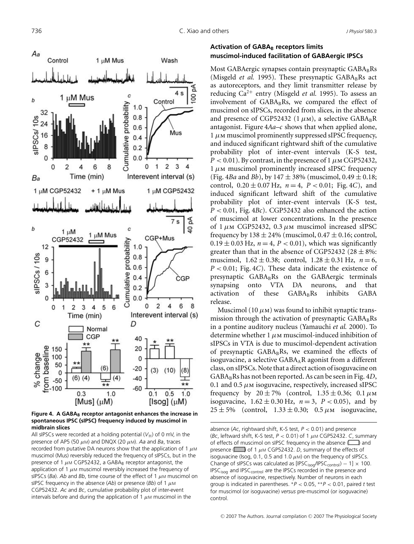

**Figure 4. A GABA**<sub>B</sub> receptor antagonist enhances the increase in **spontaneous IPSC (sIPSC) frequency induced by muscimol in midbrain slices**

All sIPSCs were recorded at a holding potential  $(V_H)$  of 0 mV, in the presence of AP5 (50 μM) and DNQX (20 μM). *Aa* and *Ba*, traces recorded from putative DA neurons show that the application of 1  $\mu$ M muscimol (Mus) reversibly reduced the frequency of sIPSCs, but in the presence of 1  $\mu$ M CGP52432, a GABA<sub>B</sub> receptor antagonist, the application of 1  $\mu$ M muscimol reversibly increased the frequency of sIPSCs ( $Ba$ ). Ab and  $Bb$ , time course of the effect of 1  $\mu$ M muscimol on sIPSC frequency in the absence (*Ab*) or presence (*Bb*) of 1 μM CGP52432. *Ac* and *Bc*, cumulative probability plot of inter-event intervals before and during the application of 1  $\mu$ M muscimol in the

# **Activation of GABA**<sub>B</sub> receptors limits **muscimol-induced facilitation of GABAergic IPSCs**

Most GABAergic synapses contain presynaptic  $GABA_BRs$ (Misgeld *et al.* 1995). These presynaptic  $GABA_BRs$  act as autoreceptors, and they limit transmitter release by reducing  $Ca^{2+}$  entry (Misgeld *et al.* 1995). To assess an involvement of  $GABA_BRs$ , we compared the effect of muscimol on sIPSCs, recorded from slices, in the absence and presence of CGP52432 (1 $\mu$ M), a selective GABA<sub>B</sub>R antagonist. Figure 4*Aa*–*c* shows that when applied alone,  $1 \mu$ M muscimol prominently suppressed sIPSC frequency, and induced significant rightward shift of the cumulative probability plot of inter-event intervals (K-S test,  $P < 0.01$ ). By contrast, in the presence of 1  $\mu$ M CGP52432,  $1 \mu$ M muscimol prominently increased sIPSC frequency (Fig. 4*Ba* and *Bb*), by 147  $\pm$  38% (muscimol, 0.49  $\pm$  0.18; control,  $0.20 \pm 0.07$  Hz,  $n = 4$ ,  $P < 0.01$ ; Fig. 4*C*), and induced significant leftward shift of the cumulative probability plot of inter-event intervals (K-S test, *P* < 0.01, Fig. 4*Bc*). CGP52432 also enhanced the action of muscimol at lower concentrations. In the presence of  $1 \mu$ M CGP52432, 0.3  $\mu$ M muscimol increased sIPSC frequency by  $138 \pm 24\%$  (muscimol,  $0.47 \pm 0.16$ ; control,  $0.19 \pm 0.03$  Hz,  $n = 4$ ,  $P < 0.01$ ), which was significantly greater than that in the absence of CGP52432 (28  $\pm$  8%: muscimol,  $1.62 \pm 0.38$ ; control,  $1.28 \pm 0.31$  Hz,  $n = 6$ , *P* < 0.01; Fig. 4*C*). These data indicate the existence of presynaptic GABABRs on the GABAergic terminals synapsing onto VTA DA neurons, and that activation of these  $GABA_RRS$  inhibits  $GABA$ release.

Muscimol (10  $\mu$ m) was found to inhibit synaptic transmission through the activation of presynaptic  $GABA_BRs$ in a pontine auditory nucleus (Yamauchi *et al.* 2000). To determine whether 1  $\mu$ M muscimol-induced inhibition of sIPSCs in VTA is due to muscimol-dependent activation of presynaptic  $GABA_BRs$ , we examined the effects of isoguvacine, a selective  $GABA_AR$  agonist from a different class, on sIPSCs. Note that a direct action of isoguvacine on GABA<sub>B</sub>Rs has not been reported. As can be seen in Fig. 4*D*, 0.1 and 0.5  $\mu$ M isoguvacine, respectively, increased sIPSC frequency by  $20 \pm 7\%$  (control,  $1.35 \pm 0.36$ ; 0.1  $\mu$ M isoguvacine,  $1.62 \pm 0.30$  Hz,  $n = 3$ ,  $P < 0.05$ ), and by  $25 \pm 5\%$  (control,  $1.33 \pm 0.30$ ;  $0.5 \mu$ M isoguvacine,

absence (*Ac*, rightward shift, K-S test, *P* < 0.01) and presence (*Bc*, leftward shift, K-S test, *P* < 0.01) of 1 μM CGP52432. *C*, summary of effects of muscimol on sIPSC frequency in the absence ( $\Box$ ) and presence  $\Box$  of 1  $\mu$ M CGP52432. *D*, summary of the effects of isoguvacine (Isog, 0.1, 0.5 and 1.0  $\mu$ M) on the frequency of sIPSCs. Change of sIPSCs was calculated as  $[IPSC<sub>isog</sub>/IPSC<sub>control</sub>) - 1] \times 100$ . IPSC<sub>isog</sub> and IPSC<sub>control</sub> are the IPSCs recorded in the presence and absence of isoguvacine, respectively. Number of neurons in each group is indicated in parentheses. <sup>∗</sup>*P* < 0.05, ∗∗*P* < 0.01, paired *t* test for muscimol (or isoguvacine) *versus* pre-muscimol (or isoguvacine) control.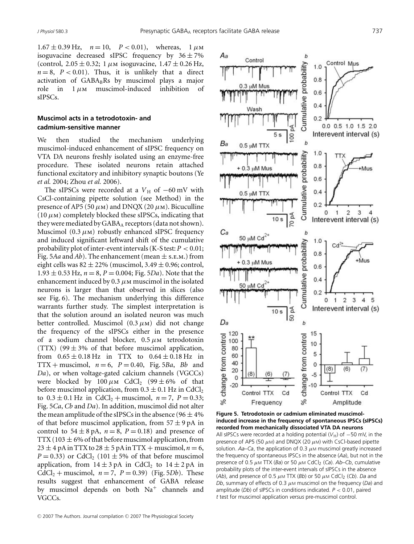$1.67 \pm 0.39$  Hz,  $n = 10$ ,  $P < 0.01$ ), whereas,  $1 \mu M$ isoguvacine decreased sIPSC frequency by  $36 \pm 7\%$ (control,  $2.05 \pm 0.32$ ; 1  $\mu$ m isoguvacine,  $1.47 \pm 0.26$  Hz,  $n = 8$ ,  $P < 0.01$ ). Thus, it is unlikely that a direct activation of  $GABA_BRs$  by muscimol plays a major role in  $1 \mu$ m muscimol-induced inhibition of sIPSCs.

## **Muscimol acts in a tetrodotoxin- and cadmium-sensitive manner**

We then studied the mechanism underlying muscimol-induced enhancement of sIPSC frequency on VTA DA neurons freshly isolated using an enzyme-free procedure. These isolated neurons retain attached functional excitatory and inhibitory synaptic boutons (Ye *et al.* 2004; Zhou *et al.* 2006).

The sIPSCs were recorded at a  $V$ <sub>H</sub> of −60 mV with CsCl-containing pipette solution (see Method) in the presence of AP5 (50  $\mu$ m) and DNQX (20  $\mu$ m). Bicuculline  $(10 \mu)$  completely blocked these sIPSCs, indicating that they were mediated by  $GABA_A$  receptors (data not shown). Muscimol  $(0.3 \mu)$  robustly enhanced sIPSC frequency and induced significant leftward shift of the cumulative probability plot of inter-event intervals (K-S test:  $P < 0.01$ ; Fig. 5*Aa* and *Ab*). The enhancement (mean  $\pm$  s.e.m.) from eight cells was  $82 \pm 22\%$  (muscimol,  $3.49 \pm 0.96$ ; control,  $1.93 \pm 0.53$  Hz,  $n = 8$ ,  $P = 0.004$ ; Fig. 5*Da*). Note that the enhancement induced by 0.3  $\mu$ M muscimol in the isolated neurons is larger than that observed in slices (also see Fig. 6). The mechanism underlying this difference warrants further study. The simplest interpretation is that the solution around an isolated neuron was much better controlled. Muscimol  $(0.3 \mu)$  did not change the frequency of the sIPSCs either in the presence of a sodium channel blocker,  $0.5 \mu$ M tetrodotoxin (TTX) (99  $\pm$  3% of that before muscimol application, from  $0.65 \pm 0.18$  Hz in TTX to  $0.64 \pm 0.18$  Hz in TTX + muscimol,  $n = 6$ ,  $P = 0.40$ , Fig. 5*Ba*, *Bb* and *Da*), or when voltage-gated calcium channels (VGCCs) were blocked by  $100 \mu M$  CdCl<sub>2</sub> (99  $\pm$  6% of that before muscimol application, from  $0.3 \pm 0.1$  Hz in CdCl<sub>2</sub> to  $0.3 \pm 0.1$  Hz in CdCl<sub>2</sub> + muscimol,  $n = 7$ ,  $P = 0.33$ ; Fig. 5*Ca*, *Cb* and *Da*). In addition, muscimol did not alter the mean amplitude of the sIPSCs in the absence (96  $\pm$  4% of that before muscimol application, from  $57 \pm 9$  pA in control to  $54 \pm 8$  pA,  $n = 8$ ,  $P = 0.18$ ) and presence of TTX (103  $\pm$  6% of that before muscimol application, from  $23 \pm 4$  pA in TTX to  $28 \pm 5$  pA in TTX + muscimol,  $n = 6$ ,  $P = 0.33$ ) or CdCl<sub>2</sub> (101  $\pm$  5% of that before muscimol application, from  $14 \pm 3$  pA in CdCl<sub>2</sub> to  $14 \pm 2$  pA in CdCl<sub>2</sub> + muscimol,  $n = 7$ ,  $P = 0.39$ ) (Fig. 5*Db*). These results suggest that enhancement of GABA release by muscimol depends on both  $Na<sup>+</sup>$  channels and VGCCs.



**Figure 5. Tetrodotoxin or cadmium eliminated muscimolinduced increase in the frequency of spontaneous IPSCs (sIPSCs) recorded from mechanically dissociated VTA DA neurons** All sIPSCs were recorded at a holding potential ( $V_H$ ) of −50 mV, in the presence of AP5 (50  $\mu$ M) and DNQX (20  $\mu$ M) with CsCl-based pipette solution.  $Aa-Ca$ , the application of 0.3  $\mu$ M muscimol greatly increased the frequency of spontaneous IPSCs in the absence (*Aa*), but not in the presence of 0.5  $\mu$ M TTX (*Ba*) or 50  $\mu$ M CdCl<sub>2</sub> (*Ca*). *Ab*–*Cb*, cumulative probability plots of the inter-event intervals of sIPSCs in the absence (*Ab*), and presence of 0.5  $\mu$ M TTX (*Bb*) or 50  $\mu$ M CdCl<sub>2</sub> (*Cb*). *Da* and *Db*, summary of effects of 0.3  $\mu$ M muscimol on the frequency (*Da*) and amplitude (*Db*) of sIPSCs in conditions indicated. *P* < 0.01, paired *t* test for muscimol application *versus* pre-muscimol control.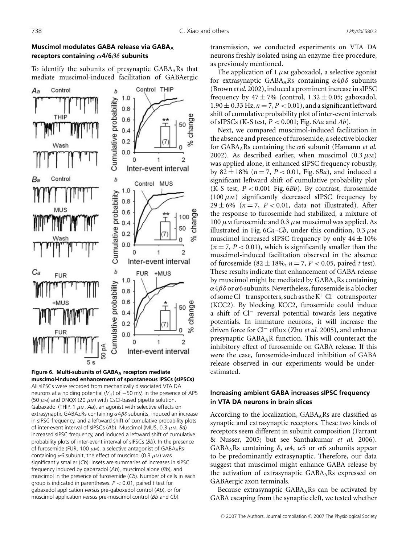## **Muscimol modulates GABA release via GABAA receptors containing** *α***4/6***βδ* **subunits**

To identify the subunits of presynaptic  $GABA<sub>A</sub>Rs$  that mediate muscimol-induced facilitation of GABAergic



**Figure 6. Multi-subunits of GABA<sub>A</sub> receptors mediate muscimol-induced enhancement of spontaneous IPSCs (sIPSCs)** All sIPSCs were recorded from mechanically dissociated VTA DA neurons at a holding potential ( $V_H$ ) of −50 mV, in the presence of AP5 (50  $\mu$ M) and DNQX (20  $\mu$ M) with CsCl-based pipette solution. Gabaxadol (THIP, 1  $\mu$ M, Aa), an agonist with selective effects on extrasynaptic GABA<sub>A</sub>Rs containing  $\alpha$ 4 $\beta$ δ subunits, induced an increase in sIPSC frequency, and a leftward shift of cumulative probability plots of inter-event interval of sIPSCs (*Ab*). Muscimol (MUS, 0.3 μM, *Ba*) increased sIPSC frequency, and induced a leftward shift of cumulative probability plots of inter-event interval of sIPSCs (*Bb*). In the presence of furosemide (FUR, 100  $\mu$ M), a selective antagonist of GABA<sub>A</sub>Rs containing  $\alpha$ 6 subunit, the effect of muscimol (0.3  $\mu$ M) was significantly smaller (*Cb*). Insets are summaries of increases in sIPSC frequency induced by gabazadol (*Ab*), muscimol alone (*Bb*), and muscimol in the presence of furosemide (*Cb*). Number of cells in each group is indicated in parentheses. *P* < 0.01, paired *t* test for gabaxedol application *versus* pre-gaboxedol control (*Ab*), or for muscimol application *versus* pre-muscimol control (*Bb* and *Cb*).

transmission, we conducted experiments on VTA DA neurons freshly isolated using an enzyme-free procedure, as previously mentioned.

The application of 1  $\mu$ m gaboxadol, a selective agonist for extrasynaptic GABA<sub>A</sub>Rs containing  $\alpha$ 4 $\beta$ δ subunits (Brown *et al.* 2002), induced a prominent increase in sIPSC frequency by  $47 \pm 7\%$  (control,  $1.32 \pm 0.05$ ; gaboxadol,  $1.90 \pm 0.33$  Hz,  $n = 7, P < 0.01$ ), and a significant leftward shift of cumulative probability plot of inter-event intervals of sIPSCs (K-S test, *P* < 0.001; Fig. 6*Aa* and *Ab*).

Next, we compared muscimol-induced facilitation in the absence and presence of furosemide, a selective blocker for  $GABA<sub>A</sub>Rs$  containing the  $\alpha$ 6 subunit (Hamann *et al.*) 2002). As described earlier, when muscimol  $(0.3 \mu)$ was applied alone, it enhanced sIPSC frequency robustly, by  $82 \pm 18\%$  ( $n = 7$ ,  $P < 0.01$ , Fig. 6*Ba*), and induced a significant leftward shift of cumulative probability plot (K-S test,  $P < 0.001$  Fig.  $6Bb$ ). By contrast, furosemide  $(100 \mu)$  significantly decreased sIPSC frequency by  $29 \pm 6\%$  ( $n = 7$ ,  $P < 0.01$ , data not illustrated). After the response to furosemide had stabilized, a mixture of 100 μm furosemide and 0.3 μm muscimol was applied. As illustrated in Fig. 6*Ca–Cb*, under this condition, 0.3 μm muscimol increased sIPSC frequency by only  $44 \pm 10\%$  $(n=7, P<0.01)$ , which is significantly smaller than the muscimol-induced facilitation observed in the absence of furosemide  $(82 \pm 18\%, n = 7, P < 0.05,$  paired *t* test). These results indicate that enhancement of GABA release by muscimol might be mediated by  $GABA_ARs$  containing  $\alpha$ 4 $\beta$ δ or  $\alpha$ 6 subunits. Nevertheless, furosemide is a blocker of some Cl<sup>−</sup> transporters, such as the K<sup>+</sup> Cl<sup>−</sup> cotransporter (KCC2). By blocking KCC2, furosemide could induce a shift of Cl<sup>−</sup> reversal potential towards less negative potentials. In immature neurons, it will increase the driven force for Cl<sup>−</sup> efflux (Zhu *et al.* 2005), and enhance presynaptic  $GABA<sub>A</sub>R$  function. This will counteract the inhibitory effect of furosemide on GABA release. If this were the case, furosemide-induced inhibition of GABA release observed in our experiments would be underestimated.

## **Increasing ambient GABA increases sIPSC frequency in VTA DA neurons in brain slices**

According to the localization,  $GABA<sub>A</sub>Rs$  are classified as synaptic and extrasynaptic receptors. These two kinds of receptors seem different in subunit composition (Farrant & Nusser, 2005; but see Santhakumar *et al.* 2006). GABA<sub>A</sub>Rs containing  $\delta$ ,  $\alpha$ 4,  $\alpha$ 5 or  $\alpha$ 6 subunits appear to be predominantly extrasynaptic. Therefore, our data suggest that muscimol might enhance GABA release by the activation of extrasynaptic  $GABA<sub>A</sub>Rs$  expressed on GABAergic axon terminals.

Because extrasynaptic  $GABA<sub>A</sub>Rs$  can be activated by GABA escaping from the synaptic cleft, we tested whether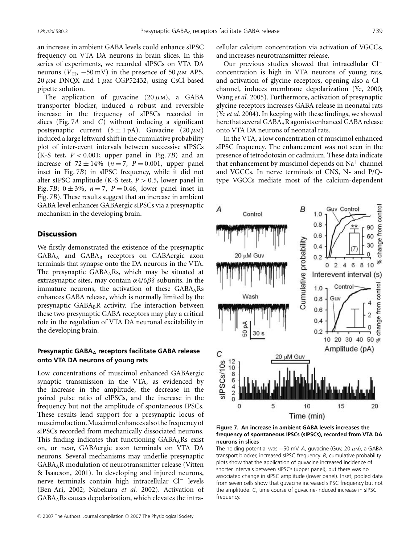an increase in ambient GABA levels could enhance sIPSC frequency on VTA DA neurons in brain slices. In this series of experiments, we recorded sIPSCs on VTA DA neurons ( $V_{\text{H}}$ , -50 mV) in the presence of 50  $\mu$ m AP5, 20  $\mu$ M DNQX and 1  $\mu$ M CGP52432, using CsCl-based pipette solution.

The application of guvacine  $(20 \mu)$ , a GABA transporter blocker, induced a robust and reversible increase in the frequency of sIPSCs recorded in slices (Fig. 7*A* and *C*) without inducing a significant postsynaptic current  $(5 \pm 1 \text{ pA})$ . Guvacine  $(20 \mu \text{m})$ induced a large leftward shift in the cumulative probability plot of inter-event intervals between successive sIPSCs (K-S test,  $P < 0.001$ ; upper panel in Fig. 7*B*) and an increase of  $72 \pm 14\%$  ( $n = 7$ ,  $P = 0.001$ , upper panel inset in Fig. 7*B*) in sIPSC frequency, while it did not alter sIPSC amplitude (K-S test,  $P > 0.5$ , lower panel in Fig. 7*B*;  $0 \pm 3\%$ ,  $n = 7$ ,  $P = 0.46$ , lower panel inset in Fig. 7*B*). These results suggest that an increase in ambient GABA level enhances GABAergic sIPSCs via a presynaptic mechanism in the developing brain.

#### **Discussion**

We firstly demonstrated the existence of the presynaptic GABA<sub>A</sub> and GABA<sub>B</sub> receptors on GABAergic axon terminals that synapse onto the DA neurons in the VTA. The presynaptic  $GABA<sub>A</sub>Rs$ , which may be situated at extrasynaptic sites, may contain  $\alpha$ 4/6 $\beta$ δ subunits. In the immature neurons, the activation of these  $GABA<sub>A</sub>Rs$ enhances GABA release, which is normally limited by the presynaptic  $GABA_BR$  activity. The interaction between these two presynaptic GABA receptors may play a critical role in the regulation of VTA DA neuronal excitability in the developing brain.

## **Presynaptic GABA<sub>A</sub> receptors facilitate GABA release onto VTA DA neurons of young rats**

Low concentrations of muscimol enhanced GABAergic synaptic transmission in the VTA, as evidenced by the increase in the amplitude, the decrease in the paired pulse ratio of eIPSCs, and the increase in the frequency but not the amplitude of spontaneous IPSCs. These results lend support for a presynaptic locus of muscimol action. Muscimol enhances also the frequency of sIPSCs recorded from mechanically dissociated neurons. This finding indicates that functioning  $GABA<sub>A</sub>Rs$  exist on, or near, GABAergic axon terminals on VTA DA neurons. Several mechanisms may underlie presynaptic GABAAR modulation of neurotransmitter release (Vitten & Isaacson, 2001). In developing and injured neurons, nerve terminals contain high intracellular Cl<sup>−</sup> levels (Ben-Ari, 2002; Nabekura *et al.* 2002). Activation of GABAARs causes depolarization, which elevates the intracellular calcium concentration via activation of VGCCs, and increases neurotransmitter release.

Our previous studies showed that intracellular Cl<sup>−</sup> concentration is high in VTA neurons of young rats, and activation of glycine receptors, opening also a Cl<sup>−</sup> channel, induces membrane depolarization (Ye, 2000; Wang *et al.* 2005). Furthermore, activation of presynaptic glycine receptors increases GABA release in neonatal rats (Ye *et al.* 2004). In keeping with these findings, we showed here that several GABA<sub>A</sub>R agonists enhanced GABA release onto VTA DA neurons of neonatal rats.

In the VTA, a low concentration of muscimol enhanced sIPSC frequency. The enhancement was not seen in the presence of tetrodotoxin or cadmium. These data indicate that enhancement by muscimol depends on  $Na<sup>+</sup>$  channel and VGCCs. In nerve terminals of CNS, N- and P/Qtype VGCCs mediate most of the calcium-dependent





The holding potential was  $-50$  mV. A, guvacine (Guv, 20  $\mu$ m), a GABA transport blocker, increased sIPSC frequency. *B*, cumulative probability plots show that the application of guvacine increased incidence of shorter intervals between sIPSCs (upper panel), but there was no associated change in sIPSC amplitude (lower panel). Inset, pooled data from seven cells show that guvacine increased sIPSC frequency but not the amplitude. *C*, time course of guvacine-induced increase in sIPSC frequency.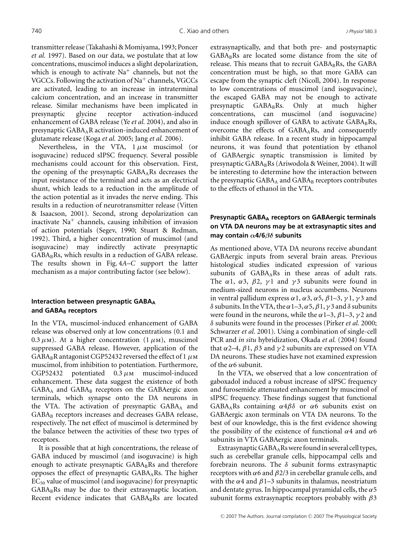transmitter release (Takahashi & Momiyama, 1993; Poncer *et al.* 1997). Based on our data, we postulate that at low concentrations, muscimol induces a slight depolarization, which is enough to activate  $Na<sup>+</sup>$  channels, but not the VGCCs. Following the activation of  $\text{Na}^+$  channels, VGCCs are activated, leading to an increase in intraterminal calcium concentration, and an increase in transmitter release. Similar mechanisms have been implicated in presynaptic glycine receptor activation-induced enhancement of GABA release (Ye *et al.* 2004), and also in presynaptic GABAAR activation-induced enhancement of glutamate release (Koga *et al.* 2005; Jang *et al.* 2006).

Nevertheless, in the VTA,  $1 \mu$ M muscimol (or isoguvacine) reduced sIPSC frequency. Several possible mechanisms could account for this observation. First, the opening of the presynaptic  $GABA<sub>A</sub>Rs$  decreases the input resistance of the terminal and acts as an electrical shunt, which leads to a reduction in the amplitude of the action potential as it invades the nerve ending. This results in a reduction of neurotransmitter release (Vitten & Isaacson, 2001). Second, strong depolarization can inactivate  $Na<sup>+</sup>$  channels, causing inhibition of invasion of action potentials (Segev, 1990; Stuart & Redman, 1992). Third, a higher concentration of muscimol (and isoguvacine) may indirectly activate presynaptic  $GABA_BRs$ , which results in a reduction of  $GABA$  release. The results shown in Fig. 4*A*–*C* support the latter mechanism as a major contributing factor (see below).

## **Interaction between presynaptic GABAA** and GABA<sub>B</sub> receptors

In the VTA, muscimol-induced enhancement of GABA release was observed only at low concentrations (0.1 and 0.3  $\mu$ m). At a higher concentration (1  $\mu$ m), muscimol suppressed GABA release. However, application of the  $GABA_BR$  antagonist CGP52432 reversed the effect of 1  $\mu$ M muscimol, from inhibition to potentiation. Furthermore, CGP52432 potentiated  $0.3 \mu$ M muscimol-induced enhancement. These data suggest the existence of both  $GABA_A$  and  $GABA_B$  receptors on the GABAergic axon terminals, which synapse onto the DA neurons in the VTA. The activation of presynaptic  $GABA_A$  and GABA<sub>B</sub> receptors increases and decreases GABA release, respectively. The net effect of muscimol is determined by the balance between the activities of these two types of receptors.

It is possible that at high concentrations, the release of GABA induced by muscimol (and isoguvacine) is high enough to activate presynaptic  $GABA_BRs$  and therefore opposes the effect of presynaptic  $GABA<sub>A</sub>Rs$ . The higher EC50 value of muscimol (and isoguvacine) for presynaptic  $GABA_BRs$  may be due to their extrasynaptic location. Recent evidence indicates that  $GABA_BRs$  are located

extrasynaptically, and that both pre- and postsynaptic  $GABA_BRS$  are located some distance from the site of release. This means that to recruit GABABRs, the GABA concentration must be high, so that more GABA can escape from the synaptic cleft (Nicoll, 2004). In response to low concentrations of muscimol (and isoguvacine), the escaped GABA may not be enough to activate presynaptic GABA<sub>B</sub>Rs. Only at much higher concentrations, can muscimol (and isoguvacine) induce enough spillover of GABA to activate  $GABA_BRS$ , overcome the effects of GABAARs, and consequently inhibit GABA release. In a recent study in hippocampal neurons, it was found that potentiation by ethanol of GABAergic synaptic transmission is limited by presynaptic GABA<sub>B</sub>Rs (Ariwodola & Weiner, 2004). It will be interesting to determine how the interaction between the presynaptic  $GABA_A$  and  $GABA_B$  receptors contributes to the effects of ethanol in the VTA.

# **Presynaptic GABAA receptors on GABAergic terminals on VTA DA neurons may be at extrasynaptic sites and may contain** *α***4/6***βδ* **subunits**

As mentioned above, VTA DA neurons receive abundant GABAergic inputs from several brain areas. Previous histological studies indicated expression of various subunits of  $GABA<sub>A</sub>Rs$  in these areas of adult rats. The  $\alpha$ 1,  $\alpha$ 3,  $\beta$ 2,  $\gamma$ 1 and  $\gamma$ 3 subunits were found in medium-sized neurons in nucleus accumbens. Neurons in ventral pallidum express  $\alpha$ 1,  $\alpha$ 3,  $\alpha$ 5,  $\beta$ 1–3,  $\gamma$ 1,  $\gamma$ 3 and δ subunits. In the VTA, the  $\alpha$ 1–3,  $\alpha$ 5,  $\beta$ 1,  $\gamma$ 3 and δ subunits were found in the neurons, while the  $\alpha$ 1–3,  $\beta$ 1–3,  $\gamma$ 2 and δ subunits were found in the processes (Pirker *et al.* 2000; Schwarzer *et al.* 2001). Using a combination of single-cell PCR and *in situ* hybridization, Okada *et al.* (2004) found that α2–4,  $β1$ ,  $β3$  and  $γ2$  subunits are expressed on VTA DA neurons. These studies have not examined expression of the  $\alpha$ 6 subunit.

In the VTA, we observed that a low concentration of gaboxadol induced a robust increase of sIPSC frequency and furosemide attenuated enhancement by muscimol of sIPSC frequency. These findings suggest that functional GABA<sub>A</sub>Rs containing  $\alpha$ 4 $\beta$ δ or  $\alpha$ 6 subunits exist on GABAergic axon terminals on VTA DA neurons. To the best of our knowledge, this is the first evidence showing the possibility of the existence of functional  $\alpha$ 4 and  $\alpha$ 6 subunits in VTA GABAergic axon terminals.

Extrasynaptic  $GABA<sub>A</sub>$ Rs were found in several cell types, such as cerebellar granule cells, hippocampal cells and forebrain neurons. The  $\delta$  subunit forms extrasynaptic receptors with  $\alpha$ 6 and  $\beta$ 2/3 in cerebellar granule cells, and with the  $\alpha$ 4 and  $\beta$ 1–3 subunits in thalamus, neostriatum and dentate gyrus. In hippocampal pyramidal cells, the  $\alpha$ 5 subunit forms extrasynaptic receptors probably with  $\beta$ 3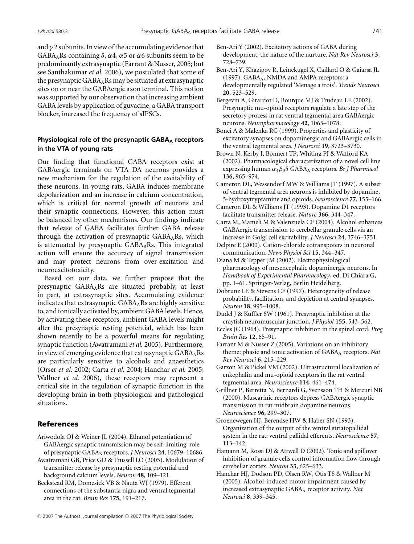and  $\gamma$  2 subunits. In view of the accumulating evidence that  $GABA<sub>A</sub>$ Rs containing  $\delta$ ,  $\alpha$ 4,  $\alpha$ 5 or  $\alpha$ 6 subunits seem to be predominantly extrasynaptic (Farrant & Nusser, 2005; but see Santhakumar *et al.* 2006), we postulated that some of the presynaptic  $GABA_ARs$  may be situated at extrasynaptic sites on or near the GABAergic axon terminal. This notion was supported by our observation that increasing ambient GABA levels by application of guvacine, a GABA transport blocker, increased the frequency of sIPSCs.

# **Physiological role of the presynaptic GABA** receptors **in the VTA of young rats**

Our finding that functional GABA receptors exist at GABAergic terminals on VTA DA neurons provides a new mechanism for the regulation of the excitability of these neurons. In young rats, GABA induces membrane depolarization and an increase in calcium concentration, which is critical for normal growth of neurons and their synaptic connections. However, this action must be balanced by other mechanisms. Our findings indicate that release of GABA facilitates further GABA release through the activation of presynaptic  $GABA<sub>A</sub>Rs$ , which is attenuated by presynaptic GABABRs. This integrated action will ensure the accuracy of signal transmission and may protect neurons from over-excitation and neuroexcitotoxicity.

Based on our data, we further propose that the presynaptic GABAARs are situated probably, at least in part, at extrasynaptic sites. Accumulating evidence indicates that extrasynaptic  $GABA_ARs$  are highly sensitive to, and tonically activated by, ambient GABA levels. Hence, by activating these receptors, ambient GABA levels might alter the presynaptic resting potential, which has been shown recently to be a powerful means for regulating synaptic function (Awatramani *et al.* 2005). Furthermore, in view of emerging evidence that extrasynaptic  $GABA<sub>A</sub>Rs$ are particularly sensitive to alcohols and anaesthetics (Orser *et al.* 2002; Carta *et al.* 2004; Hanchar *et al.* 2005; Wallner *et al.* 2006), these receptors may represent a critical site in the regulation of synaptic function in the developing brain in both physiological and pathological situations.

# References

- Ariwodola OJ & Weiner JL (2004). Ethanol potentiation of GABAergic synaptic transmission may be self-limiting: role of presynaptic GABAB receptors. *J Neurosci* **24**, 10679–10686.
- Awatramani GB, Price GD & Trussell LO (2005). Modulation of transmitter release by presynaptic resting potential and background calcium levels. *Neuron* **48**, 109–121.
- Beckstead RM, Domesick VB & Nauta WJ (1979). Efferent connections of the substantia nigra and ventral tegmental area in the rat. *Brain Res* **175**, 191–217.
- Ben-Ari Y (2002). Excitatory actions of GABA during development: the nature of the nurture. *Nat Rev Neurosci* **3**, 728–739.
- Ben-Ari Y, Khazipov R, Leinekugel X, Caillard O & Gaiarsa JL (1997). GABA<sub>A</sub>, NMDA and AMPA receptors: a developmentally regulated 'Menage a trois'. *Trends Neurosci* **20**, 523–529.
- Bergevin A, Girardot D, Bourque MJ & Trudeau LE (2002). Presynaptic mu-opioid receptors regulate a late step of the secretory process in rat ventral tegmental area GABAergic neurons. *Neuropharmacology* **42**, 1065–1078.
- Bonci A & Malenka RC (1999). Properties and plasticity of excitatory synapses on dopaminergic and GABAergic cells in the ventral tegmental area. *J Neurosci* **19**, 3723–3730.
- Brown N, Kerby J, Bonnert TP, Whiting PJ & Wafford KA (2002). Pharmacological characterization of a novel cell line expressing human α4β3δ GABAA receptors. *Br J Pharmacol* **136**, 965–974.
- Cameron DL, Wessendorf MW & Williams JT (1997). A subset of ventral tegmental area neurons is inhibited by dopamine, 5-hydroxytryptamine and opioids. *Neuroscience* **77**, 155–166.
- Cameron DL & Williams JT (1993). Dopamine D1 receptors facilitate transmitter release. *Nature* **366**, 344–347.
- Carta M, Mameli M & Valenzuela CF (2004). Alcohol enhances GABAergic transmission to cerebellar granule cells via an increase in Golgi cell excitability. *J Neurosci* **24**, 3746–3751.
- Delpire E (2000). Cation-chloride cotranspoters in neuronal communication. *News Physiol Sci* **15**, 344–347.
- Diana M & Tepper JM (2002). Electrophysiological pharmacology of mesencephalic dopaminergic neurons. In *Handbook of Experimental Pharmacology*, ed. Di Chiara G, pp. 1–61. Springer-Verlag, Berlin Heidelberg.
- Dobrunz LE & Stevens CF (1997). Heterogeneity of release probability, facilitation, and depletion at central synapses. *Neuron* **18**, 995–1008.
- Dudel J & Kuffler SW (1961). Presynaptic inhibition at the crayfish neuromuscular junction. *J Physiol* **155**, 543–562.
- Eccles JC (1964). Presynaptic inhibition in the spinal cord. *Prog Brain Res* **12**, 65–91.
- Farrant M & Nusser Z (2005). Variations on an inhibitory theme: phasic and tonic activation of GABA<sub>A</sub> receptors. Nat *Rev Neurosci* **6**, 215–229.
- Garzon M & Pickel VM (2002). Ultrastructural localization of enkephalin and mu-opioid receptors in the rat ventral tegmental area. *Neuroscience* **114**, 461–474.
- Grillner P, Berretta N, Bernardi G, Svensson TH & Mercuri NB (2000). Muscarinic receptors depress GABAergic synaptic transmission in rat midbrain dopamine neurons. *Neuroscience* **96**, 299–307.
- Groenewegen HJ, Berendse HW & Haber SN (1993). Organization of the output of the ventral striatopallidal system in the rat: ventral pallidal efferents. *Neuroscience* **57**, 113–142.
- Hamann M, Rossi DJ & Attwell D (2002). Tonic and spillover inhibition of granule cells control information flow through cerebellar cortex. *Neuron* **33**, 625–633.
- Hanchar HJ, Dodson PD, Olsen RW, Otis TS & Wallner M (2005). Alcohol-induced motor impairment caused by increased extrasynaptic GABAA receptor activity. *Nat Neurosci* **8**, 339–345.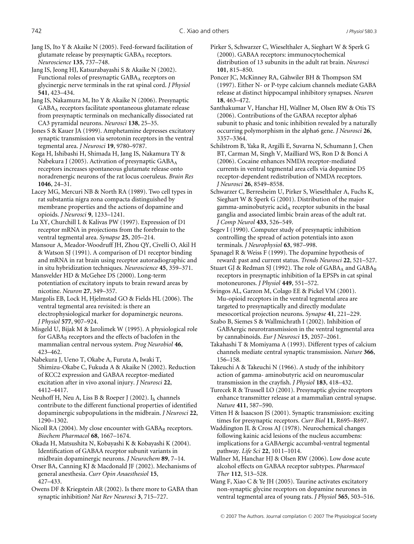Jang IS, Ito Y & Akaike N (2005). Feed-forward facilitation of glutamate release by presynaptic GABAA receptors. *Neuroscience* **135**, 737–748.

Jang IS, Jeong HJ, Katsurabayashi S & Akaike N (2002). Functional roles of presynaptic  $GABA_A$  receptors on glycinergic nerve terminals in the rat spinal cord. *J Physiol* **541**, 423–434.

Jang IS, Nakamura M, Ito Y & Akaike N (2006). Presynaptic GABAA receptors facilitate spontaneous glutamate release from presynaptic terminals on mechanically dissociated rat CA3 pyramidal neurons. *Neurosci* **138**, 25–35.

Jones S & Kauer JA (1999). Amphetamine depresses excitatory synaptic transmission via serotonin receptors in the ventral tegmental area. *J Neurosci* **19**, 9780–9787.

Koga H, Ishibashi H, Shimada H, Jang IS, Nakamura TY & Nabekura J (2005). Activation of presynaptic GABA<sub>A</sub> receptors increases spontaneous glutamate release onto noradrenergic neurons of the rat locus coeruleus. *Brain Res* **1046**, 24–31.

Lacey MG, Mercuri NB & North RA (1989). Two cell types in rat substantia nigra zona compacta distinguished by membrane properties and the actions of dopamine and opioids. *J Neurosci* **9**, 1233–1241.

Lu XY, Churchill L & Kalivas PW (1997). Expression of D1 receptor mRNA in projections from the forebrain to the ventral tegmental area. *Synapse* **25**, 205–214.

Mansour A, Meador-Woodruff JH, Zhou QY, Civelli O, Akil H & Watson SJ (1991). A comparison of D1 receptor binding and mRNA in rat brain using receptor autoradiographic and in situ hybridization techniques. *Neuroscience* **45**, 359–371.

Mansvelder HD & McGehee DS (2000). Long-term potentiation of excitatory inputs to brain reward areas by nicotine. *Neuron* **27**, 349–357.

Margolis EB, Lock H, Hjelmstad GO & Fields HL (2006). The ventral tegmental area revisited: is there an electrophysiological marker for dopaminergic neurons. *J Physiol* **577**, 907–924.

Misgeld U, Bijak M & Jarolimek W (1995). A physiological role for  $GABA_B$  receptors and the effects of baclofen in the mammalian central nervous system. *Prog Neurobiol* **46**, 423–462.

Nabekura J, Ueno T, Okabe A, Furuta A, Iwaki T, Shimizu-Okabe C, Fukuda A & Akaike N (2002). Reduction of KCC2 expression and GABAA receptor-mediated excitation after in vivo axonal injury. *J Neurosci* **22**, 4412–4417.

Neuhoff H, Neu A, Liss B & Roeper J (2002). Ih channels contribute to the different functional properties of identified dopaminergic subpopulations in the midbrain. *J Neurosci* **22**, 1290–1302.

Nicoll RA (2004). My close encounter with  $GABA_B$  receptors. *Biochem Pharmacol* **68**, 1667–1674.

Okada H, Matsushita N, Kobayashi K & Kobayashi K (2004). Identification of GABAA receptor subunit variants in midbrain dopaminergic neurons. *J Neurochem* **89**, 7–14.

Orser BA, Canning KJ & Macdonald JF (2002). Mechanisms of general anesthesia. *Curr Opin Anaesthesiol* **15**, 427–433.

Owens DF & Kriegstein AR (2002). Is there more to GABA than synaptic inhibition? *Nat Rev Neurosci* **3**, 715–727.

Pirker S, Schwarzer C, Wieselthaler A, Sieghart W & Sperk G (2000). GABAA receptors: immunocytochemical distribution of 13 subunits in the adult rat brain. *Neurosci* **101**, 815–850.

Poncer JC, McKinney RA, Gähwiler BH & Thompson SM (1997). Either N- or P-type calcium channels mediate GABA release at distinct hippocampal inhibitory synapses. *Neuron* **18**, 463–472.

Santhakumar V, Hanchar HJ, Wallner M, Olsen RW & Otis TS (2006). Contributions of the GABAA receptor alpha6 subunit to phasic and tonic inhibition revealed by a naturally occurring polymorphism in the alpha6 gene. *J Neurosci* **26**, 3357–3364.

Schilstrom B, Yaka R, Argilli E, Suvarna N, Schumann J, Chen BT, Carman M, Singh V, Mailliard WS, Ron D & Bonci A (2006). Cocaine enhances NMDA receptor-mediated currents in ventral tegmental area cells via dopamine D5 receptor-dependent redistribution of NMDA receptors. *J Neurosci* **26**, 8549–8558.

Schwarzer C, Berresheim U, Pirker S, Wieselthaler A, Fuchs K, Sieghart W & Sperk G (2001). Distribution of the major gamma-aminobutyric acid $_A$  receptor subunits in the basal ganglia and associated limbic brain areas of the adult rat. *J Comp Neurol* **433**, 526–549.

Segev I (1990). Computer study of presynaptic inhibition controlling the spread of action potentials into axon terminals. *J Neurophysiol* **63**, 987–998.

Spanagel R & Weiss F (1999). The dopamine hypothesis of reward: past and current status. *Trends Neurosci* **22**, 521–527.

Stuart GJ & Redman SJ (1992). The role of  $GABA_A$  and  $GABA_B$ receptors in presynaptic inhibition of Ia EPSPs in cat spinal motoneurones. *J Physiol* **449**, 551–572.

Svingos AL, Garzon M, Colago EE & Pickel VM (2001). Mu-opioid receptors in the ventral tegmental area are targeted to presynaptically and directly modulate mesocortical projection neurons. *Synapse* **41**, 221–229.

Szabo B, Siemes S & Wallmichrath I (2002). Inhibition of GABAergic neurotransmission in the ventral tegmental area by cannabinoids. *Eur J Neurosci* **15**, 2057–2061.

Takahashi T & Momiyama A (1993). Different types of calcium channels mediate central synaptic transmission. *Nature* **366**, 156–158.

Takeuchi A & Takeuchi N (1966). A study of the inhibitory action of gamma- aminobutyric acid on neuromuscular transmission in the crayfish. *J Physiol* **183**, 418–432.

Turecek R & Trussell LO (2001). Presynaptic glycine receptors enhance transmitter release at a mammalian central synapse. *Nature* **411**, 587–590.

Vitten H & Isaacson JS (2001). Synaptic transmission: exciting times for presynaptic receptors. *Curr Biol* **11**, R695–R697.

Waddington JL & Cross AJ (1978). Neurochemical changes following kainic acid lesions of the nucleus accumbens: implications for a GABAergic accumbal-ventral tegmental pathway. *Life Sci* **22**, 1011–1014.

Wallner M, Hanchar HJ & Olsen RW (2006). Low dose acute alcohol effects on GABAA receptor subtypes. *Pharmacol Ther* **112**, 513–528.

Wang F, Xiao C & Ye JH (2005). Taurine activates excitatory non-synaptic glycine receptors on dopamine neurones in ventral tegmental area of young rats. *J Physiol* **565**, 503–516.